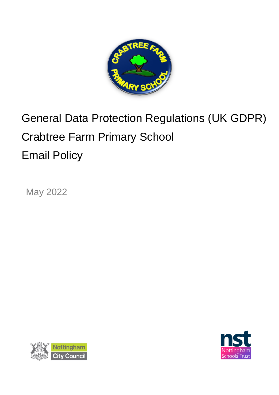

# General Data Protection Regulations (UK GDPR) Crabtree Farm Primary School Email Policy

May 2022



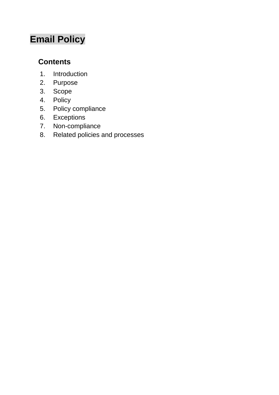## **Email Policy**

### **Contents**

- 1. Introduction
- 2. Purpose
- 3. Scope
- 4. Policy
- 5. Policy compliance
- 6. Exceptions
- 7. Non-compliance
- 8. Related policies and processes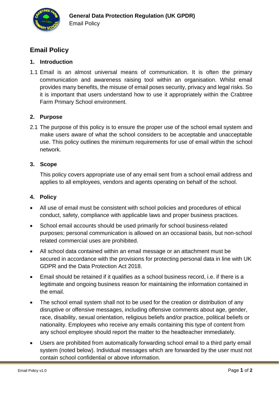

#### **Email Policy**

#### **1. Introduction**

1.1 Email is an almost universal means of communication. It is often the primary communication and awareness raising tool within an organisation. Whilst email provides many benefits, the misuse of email poses security, privacy and legal risks. So it is important that users understand how to use it appropriately within the Crabtree Farm Primary School environment.

#### **2. Purpose**

2.1 The purpose of this policy is to ensure the proper use of the school email system and make users aware of what the school considers to be acceptable and unacceptable use. This policy outlines the minimum requirements for use of email within the school network.

#### **3. Scope**

This policy covers appropriate use of any email sent from a school email address and applies to all employees, vendors and agents operating on behalf of the school.

#### **4. Policy**

- All use of email must be consistent with school policies and procedures of ethical conduct, safety, compliance with applicable laws and proper business practices.
- School email accounts should be used primarily for school business-related purposes; personal communication is allowed on an occasional basis, but non-school related commercial uses are prohibited.
- All school data contained within an email message or an attachment must be secured in accordance with the provisions for protecting personal data in line with UK GDPR and the Data Protection Act 2018.
- Email should be retained if it qualifies as a school business record, i.e. if there is a legitimate and ongoing business reason for maintaining the information contained in the email.
- The school email system shall not to be used for the creation or distribution of any disruptive or offensive messages, including offensive comments about age, gender, race, disability, sexual orientation, religious beliefs and/or practice, political beliefs or nationality. Employees who receive any emails containing this type of content from any school employee should report the matter to the headteacher immediately.
- Users are prohibited from automatically forwarding school email to a third party email system (noted below). Individual messages which are forwarded by the user must not contain school confidential or above information.